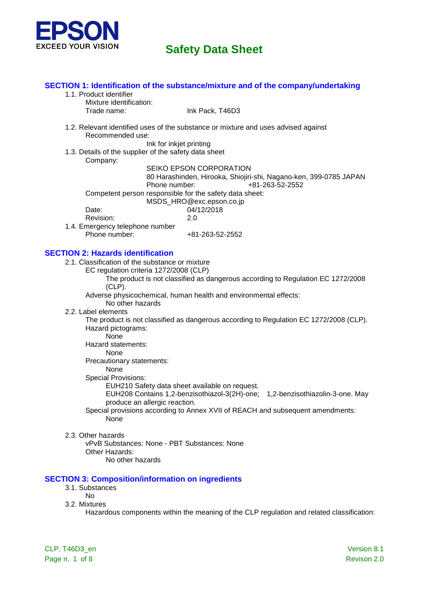

#### **SECTION 1: Identification of the substance/mixture and of the company/undertaking**

- 1.1. Product identifier
	- Mixture identification:

Trade name: Ink Pack, T46D3

1.2. Relevant identified uses of the substance or mixture and uses advised against Recommended use:

Ink for inkjet printing

1.3. Details of the supplier of the safety data sheet Company:

SEIKO EPSON CORPORATION

80 Harashinden, Hirooka, Shiojiri-shi, Nagano-ken, 399-0785 JAPAN Phone number: +81-263-52-2552

Competent person responsible for the safety data sheet:

MSDS\_HRO@exc.epson.co.jp

| Date:     | 04/12/2018 |
|-----------|------------|
| Revision: | 2.0        |

1.4. Emergency telephone number Phone number: +81-263-52-2552

### **SECTION 2: Hazards identification**

- 2.1. Classification of the substance or mixture
	- EC regulation criteria 1272/2008 (CLP)

The product is not classified as dangerous according to Regulation EC 1272/2008 (CLP).

Adverse physicochemical, human health and environmental effects:

- No other hazards
- 2.2. Label elements

The product is not classified as dangerous according to Regulation EC 1272/2008 (CLP). Hazard pictograms:

None

Hazard statements:

#### None

Precautionary statements:

None

Special Provisions:

EUH210 Safety data sheet available on request.

EUH208 Contains 1,2-benzisothiazol-3(2H)-one; 1,2-benzisothiazolin-3-one. May produce an allergic reaction.

Special provisions according to Annex XVII of REACH and subsequent amendments: None

#### 2.3. Other hazards

vPvB Substances: None - PBT Substances: None Other Hazards: No other hazards

#### **SECTION 3: Composition/information on ingredients**

- 3.1. Substances
	- No
- 3.2. Mixtures

Hazardous components within the meaning of the CLP regulation and related classification: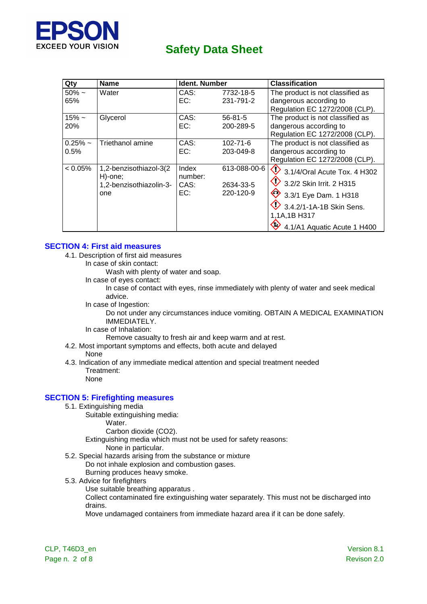

| Qty        | <b>Name</b>                       | <b>Ident. Number</b> |               | <b>Classification</b>                  |
|------------|-----------------------------------|----------------------|---------------|----------------------------------------|
| $50\%$ ~   | Water                             | CAS:                 | 7732-18-5     | The product is not classified as       |
| 65%        |                                   | EC:                  | 231-791-2     | dangerous according to                 |
|            |                                   |                      |               | Regulation EC 1272/2008 (CLP).         |
| $15% -$    | Glycerol                          | CAS:                 | $56 - 81 - 5$ | The product is not classified as       |
| 20%        |                                   | EC:                  | 200-289-5     | dangerous according to                 |
|            |                                   |                      |               | Regulation EC 1272/2008 (CLP).         |
| $0.25\%$ ~ | Triethanol amine                  | CAS:                 | 102-71-6      | The product is not classified as       |
| 0.5%       |                                   | EC:                  | 203-049-8     | dangerous according to                 |
|            |                                   |                      |               | Regulation EC 1272/2008 (CLP).         |
| $< 0.05\%$ | 1,2-benzisothiazol-3(2<br>H)-one; | Index<br>number:     | 613-088-00-6  | $\bullet$ 3.1/4/Oral Acute Tox. 4 H302 |
|            | 1,2-benzisothiazolin-3-           | CAS:                 | 2634-33-5     | 3.2/2 Skin Irrit. 2 H315               |
|            | one                               | EC:                  | 220-120-9     | 3.3/1 Eye Dam. 1 H318                  |
|            |                                   |                      |               | 3.4.2/1-1A-1B Skin Sens.               |
|            |                                   |                      |               | 1,1A,1B H317                           |
|            |                                   |                      |               | 4.1/A1 Aquatic Acute 1 H400            |

#### **SECTION 4: First aid measures**

- 4.1. Description of first aid measures
	- In case of skin contact:

Wash with plenty of water and soap.

In case of eyes contact:

In case of contact with eyes, rinse immediately with plenty of water and seek medical advice.

In case of Ingestion:

Do not under any circumstances induce vomiting. OBTAIN A MEDICAL EXAMINATION IMMEDIATELY.

In case of Inhalation:

Remove casualty to fresh air and keep warm and at rest.

- 4.2. Most important symptoms and effects, both acute and delayed
	- None
- 4.3. Indication of any immediate medical attention and special treatment needed Treatment:

None

### **SECTION 5: Firefighting measures**

5.1. Extinguishing media

Suitable extinguishing media:

Water. Carbon dioxide (CO2).

Extinguishing media which must not be used for safety reasons:

None in particular.

5.2. Special hazards arising from the substance or mixture Do not inhale explosion and combustion gases.

Burning produces heavy smoke.

- 5.3. Advice for firefighters
	- Use suitable breathing apparatus .

Collect contaminated fire extinguishing water separately. This must not be discharged into drains.

Move undamaged containers from immediate hazard area if it can be done safely.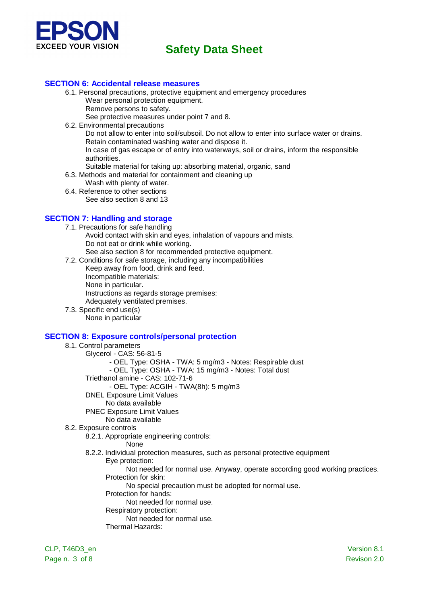

#### **SECTION 6: Accidental release measures**

- 6.1. Personal precautions, protective equipment and emergency procedures Wear personal protection equipment. Remove persons to safety.
	- See protective measures under point 7 and 8.
- 6.2. Environmental precautions

Do not allow to enter into soil/subsoil. Do not allow to enter into surface water or drains. Retain contaminated washing water and dispose it.

In case of gas escape or of entry into waterways, soil or drains, inform the responsible authorities.

- Suitable material for taking up: absorbing material, organic, sand
- 6.3. Methods and material for containment and cleaning up
	- Wash with plenty of water.
- 6.4. Reference to other sections
	- See also section 8 and 13

#### **SECTION 7: Handling and storage**

- 7.1. Precautions for safe handling
	- Avoid contact with skin and eyes, inhalation of vapours and mists. Do not eat or drink while working.
- See also section 8 for recommended protective equipment.
- 7.2. Conditions for safe storage, including any incompatibilities Keep away from food, drink and feed. Incompatible materials: None in particular. Instructions as regards storage premises: Adequately ventilated premises. 7.3. Specific end use(s)
	- None in particular

#### **SECTION 8: Exposure controls/personal protection**

8.1. Control parameters Glycerol - CAS: 56-81-5 - OEL Type: OSHA - TWA: 5 mg/m3 - Notes: Respirable dust - OEL Type: OSHA - TWA: 15 mg/m3 - Notes: Total dust Triethanol amine - CAS: 102-71-6 - OEL Type: ACGIH - TWA(8h): 5 mg/m3 DNEL Exposure Limit Values No data available PNEC Exposure Limit Values No data available 8.2. Exposure controls 8.2.1. Appropriate engineering controls: None 8.2.2. Individual protection measures, such as personal protective equipment Eye protection: Not needed for normal use. Anyway, operate according good working practices. Protection for skin: No special precaution must be adopted for normal use. Protection for hands: Not needed for normal use. Respiratory protection: Not needed for normal use. Thermal Hazards: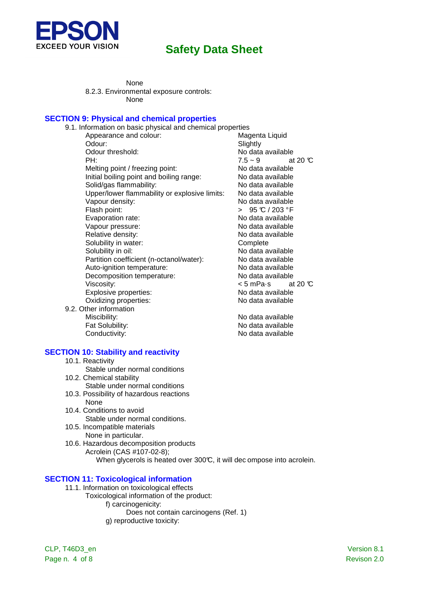

None 8.2.3. Environmental exposure controls: None

#### **SECTION 9: Physical and chemical properties**

| 9.1. Information on basic physical and chemical properties |                                    |
|------------------------------------------------------------|------------------------------------|
| Appearance and colour:                                     | Magenta Liquid                     |
| Odour:                                                     | Slightly                           |
| Odour threshold:                                           | No data available                  |
| PH:                                                        | $7.5 \sim 9$<br>at 20 $\mathbb{C}$ |
| Melting point / freezing point:                            | No data available                  |
| Initial boiling point and boiling range:                   | No data available                  |
| Solid/gas flammability:                                    | No data available                  |
| Upper/lower flammability or explosive limits:              | No data available                  |
| Vapour density:                                            | No data available                  |
| Flash point:                                               | > $95 \text{ °C} / 203 \text{ °F}$ |
| Evaporation rate:                                          | No data available                  |
| Vapour pressure:                                           | No data available                  |
| Relative density:                                          | No data available                  |
| Solubility in water:                                       | Complete                           |
| Solubility in oil:                                         | No data available                  |
| Partition coefficient (n-octanol/water):                   | No data available                  |
| Auto-ignition temperature:                                 | No data available                  |
| Decomposition temperature:                                 | No data available                  |
| Viscosity:                                                 | < 5 mPa⋅s at 20 ℃                  |
| Explosive properties:                                      | No data available                  |
| Oxidizing properties:                                      | No data available                  |
| 9.2. Other information                                     |                                    |
| Miscibility:                                               | No data available                  |
| Fat Solubility:                                            | No data available                  |
| Conductivity:                                              | No data available                  |

#### **SECTION 10: Stability and reactivity**

- 10.1. Reactivity
	- Stable under normal conditions
- 10.2. Chemical stability Stable under normal conditions
- 10.3. Possibility of hazardous reactions None
- 10.4. Conditions to avoid Stable under normal conditions.
- 10.5. Incompatible materials None in particular.
- 10.6. Hazardous decomposition products Acrolein (CAS #107-02-8); When glycerols is heated over 300°C, it will dec ompose into acrolein.

#### **SECTION 11: Toxicological information**

- 11.1. Information on toxicological effects
	- Toxicological information of the product: f) carcinogenicity: Does not contain carcinogens (Ref. 1) g) reproductive toxicity:

CLP, T46D3\_en Version 8.1 Page n. 4 of 8 Revison 2.0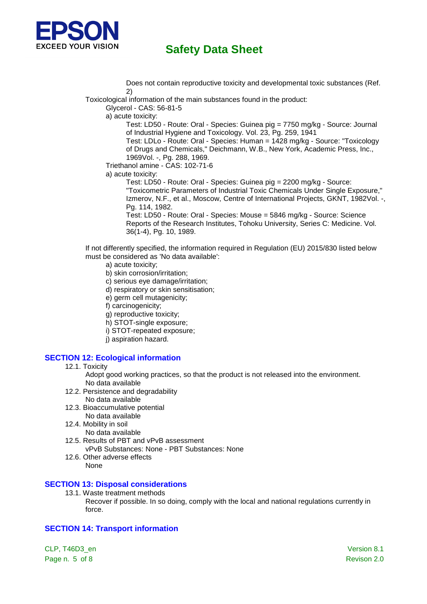

 Does not contain reproductive toxicity and developmental toxic substances (Ref. 2)

Toxicological information of the main substances found in the product:

Glycerol - CAS: 56-81-5

a) acute toxicity:

Test: LD50 - Route: Oral - Species: Guinea pig = 7750 mg/kg - Source: Journal of Industrial Hygiene and Toxicology. Vol. 23, Pg. 259, 1941

Test: LDLo - Route: Oral - Species: Human = 1428 mg/kg - Source: "Toxicology of Drugs and Chemicals," Deichmann, W.B., New York, Academic Press, Inc., 1969Vol. -, Pg. 288, 1969.

Triethanol amine - CAS: 102-71-6

a) acute toxicity:

Test: LD50 - Route: Oral - Species: Guinea pig = 2200 mg/kg - Source: "Toxicometric Parameters of Industrial Toxic Chemicals Under Single Exposure," Izmerov, N.F., et al., Moscow, Centre of International Projects, GKNT, 1982Vol. -, Pg. 114, 1982.

Test: LD50 - Route: Oral - Species: Mouse = 5846 mg/kg - Source: Science Reports of the Research Institutes, Tohoku University, Series C: Medicine. Vol. 36(1-4), Pg. 10, 1989.

If not differently specified, the information required in Regulation (EU) 2015/830 listed below must be considered as 'No data available':

- a) acute toxicity;
- b) skin corrosion/irritation;
- c) serious eye damage/irritation;
- d) respiratory or skin sensitisation;
- e) germ cell mutagenicity;
- f) carcinogenicity;
- g) reproductive toxicity;
- h) STOT-single exposure;
- i) STOT-repeated exposure;
- j) aspiration hazard.

### **SECTION 12: Ecological information**

#### 12.1. Toxicity

Adopt good working practices, so that the product is not released into the environment. No data available

- 12.2. Persistence and degradability No data available
- 12.3. Bioaccumulative potential No data available
- 12.4. Mobility in soil
- No data available
- 12.5. Results of PBT and vPvB assessment vPvB Substances: None - PBT Substances: None
- 12.6. Other adverse effects None

### **SECTION 13: Disposal considerations**

13.1. Waste treatment methods

Recover if possible. In so doing, comply with the local and national regulations currently in force.

### **SECTION 14: Transport information**

CLP, T46D3\_en Version 8.1 Page n. 5 of 8 Revison 2.0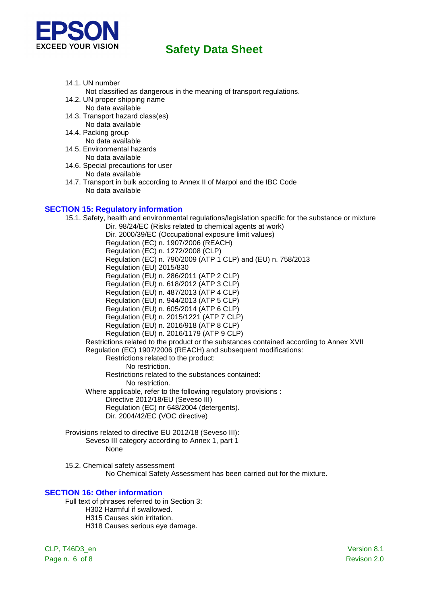

- 14.1. UN number
	- Not classified as dangerous in the meaning of transport regulations.
- 14.2. UN proper shipping name No data available
- 14.3. Transport hazard class(es) No data available
- 14.4. Packing group No data available
- 14.5. Environmental hazards
- No data available 14.6. Special precautions for user
- No data available
- 14.7. Transport in bulk according to Annex II of Marpol and the IBC Code No data available

### **SECTION 15: Regulatory information**

15.1. Safety, health and environmental regulations/legislation specific for the substance or mixture Dir. 98/24/EC (Risks related to chemical agents at work) Dir. 2000/39/EC (Occupational exposure limit values) Regulation (EC) n. 1907/2006 (REACH) Regulation (EC) n. 1272/2008 (CLP) Regulation (EC) n. 790/2009 (ATP 1 CLP) and (EU) n. 758/2013 Regulation (EU) 2015/830 Regulation (EU) n. 286/2011 (ATP 2 CLP) Regulation (EU) n. 618/2012 (ATP 3 CLP) Regulation (EU) n. 487/2013 (ATP 4 CLP) Regulation (EU) n. 944/2013 (ATP 5 CLP) Regulation (EU) n. 605/2014 (ATP 6 CLP) Regulation (EU) n. 2015/1221 (ATP 7 CLP) Regulation (EU) n. 2016/918 (ATP 8 CLP) Regulation (EU) n. 2016/1179 (ATP 9 CLP) Restrictions related to the product or the substances contained according to Annex XVII Regulation (EC) 1907/2006 (REACH) and subsequent modifications: Restrictions related to the product: No restriction. Restrictions related to the substances contained: No restriction. Where applicable, refer to the following regulatory provisions : Directive 2012/18/EU (Seveso III) Regulation (EC) nr 648/2004 (detergents). Dir. 2004/42/EC (VOC directive)

- Provisions related to directive EU 2012/18 (Seveso III): Seveso III category according to Annex 1, part 1 None
- 15.2. Chemical safety assessment No Chemical Safety Assessment has been carried out for the mixture.

#### **SECTION 16: Other information**

Full text of phrases referred to in Section 3: H302 Harmful if swallowed. H315 Causes skin irritation. H318 Causes serious eye damage.

CLP, T46D3\_en Version 8.1 Page n. 6 of 8 Revison 2.0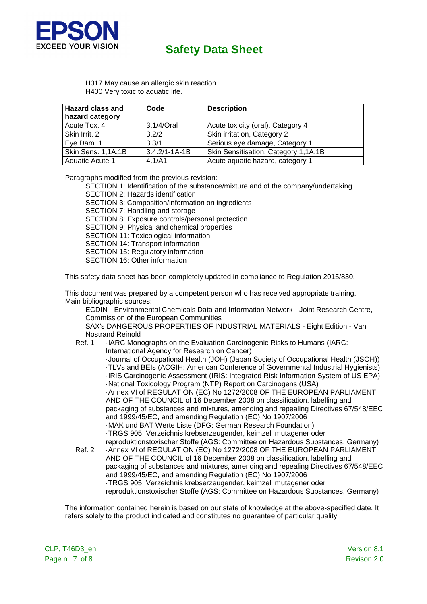

H317 May cause an allergic skin reaction. H400 Very toxic to aquatic life.

| <b>Hazard class and</b><br>hazard category | Code                | <b>Description</b>                   |
|--------------------------------------------|---------------------|--------------------------------------|
| Acute Tox. 4                               | $3.1/4$ /Oral       | Acute toxicity (oral), Category 4    |
| Skin Irrit. 2                              | 3.2/2               | Skin irritation, Category 2          |
| Eye Dam. 1                                 | 3.3/1               | Serious eye damage, Category 1       |
| Skin Sens. 1,1A,1B                         | $3.4.2/1 - 1A - 1B$ | Skin Sensitisation, Category 1,1A,1B |
| Aquatic Acute 1                            | 4.1/A1              | Acute aquatic hazard, category 1     |

Paragraphs modified from the previous revision:

SECTION 1: Identification of the substance/mixture and of the company/undertaking

SECTION 2: Hazards identification

SECTION 3: Composition/information on ingredients

SECTION 7: Handling and storage

SECTION 8: Exposure controls/personal protection

SECTION 9: Physical and chemical properties

SECTION 11: Toxicological information

SECTION 14: Transport information

SECTION 15: Regulatory information

SECTION 16: Other information

This safety data sheet has been completely updated in compliance to Regulation 2015/830.

This document was prepared by a competent person who has received appropriate training. Main bibliographic sources:

ECDIN - Environmental Chemicals Data and Information Network - Joint Research Centre, Commission of the European Communities

SAX's DANGEROUS PROPERTIES OF INDUSTRIAL MATERIALS - Eight Edition - Van Nostrand Reinold

Ref. 1 · IARC Monographs on the Evaluation Carcinogenic Risks to Humans (IARC: International Agency for Research on Cancer)

 ·Journal of Occupational Health (JOH) (Japan Society of Occupational Health (JSOH)) ·TLVs and BEIs (ACGIH: American Conference of Governmental Industrial Hygienists) ·IRIS Carcinogenic Assessment (IRIS: Integrated Risk Information System of US EPA) ·National Toxicology Program (NTP) Report on Carcinogens (USA) ·Annex VI of REGULATION (EC) No 1272/2008 OF THE EUROPEAN PARLIAMENT AND OF THE COUNCIL of 16 December 2008 on classification, labelling and packaging of substances and mixtures, amending and repealing Directives 67/548/EEC and 1999/45/EC, and amending Regulation (EC) No 1907/2006 ·MAK und BAT Werte Liste (DFG: German Research Foundation) ·TRGS 905, Verzeichnis krebserzeugender, keimzell mutagener oder reproduktionstoxischer Stoffe (AGS: Committee on Hazardous Substances, Germany)

Ref. 2 ·Annex VI of REGULATION (EC) No 1272/2008 OF THE EUROPEAN PARLIAMENT AND OF THE COUNCIL of 16 December 2008 on classification, labelling and packaging of substances and mixtures, amending and repealing Directives 67/548/EEC and 1999/45/EC, and amending Regulation (EC) No 1907/2006 ·TRGS 905, Verzeichnis krebserzeugender, keimzell mutagener oder reproduktionstoxischer Stoffe (AGS: Committee on Hazardous Substances, Germany)

The information contained herein is based on our state of knowledge at the above-specified date. It refers solely to the product indicated and constitutes no guarantee of particular quality.

CLP, T46D3\_en Version 8.1 Page n. 7 of 8 Revison 2.0